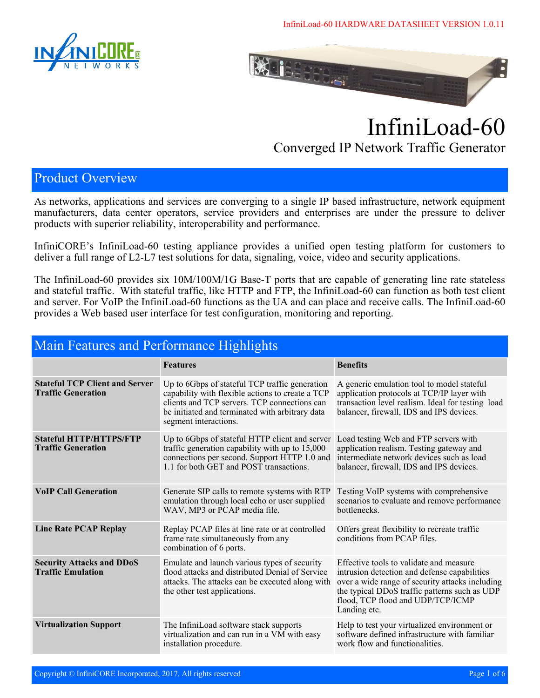InfiniLoad-60 HARDWARE DATASHEET VERSION 1.0.11





# InfiniLoad-60 Converged IP Network Traffic Generator

#### Product Overview

As networks, applications and services are converging to a single IP based infrastructure, network equipment manufacturers, data center operators, service providers and enterprises are under the pressure to deliver products with superior reliability, interoperability and performance.

InfiniCORE's InfiniLoad-60 testing appliance provides a unified open testing platform for customers to deliver a full range of L2-L7 test solutions for data, signaling, voice, video and security applications.

The InfiniLoad-60 provides six 10M/100M/1G Base-T ports that are capable of generating line rate stateless and stateful traffic. With stateful traffic, like HTTP and FTP, the InfiniLoad-60 can function as both test client and server. For VoIP the InfiniLoad-60 functions as the UA and can place and receive calls. The InfiniLoad-60 provides a Web based user interface for test configuration, monitoring and reporting.

| Main Features and Performance Highlights                           |                                                                                                                                                                                                                                |                                                                                                                                                                                                                                                  |  |
|--------------------------------------------------------------------|--------------------------------------------------------------------------------------------------------------------------------------------------------------------------------------------------------------------------------|--------------------------------------------------------------------------------------------------------------------------------------------------------------------------------------------------------------------------------------------------|--|
|                                                                    | <b>Features</b>                                                                                                                                                                                                                | <b>Benefits</b>                                                                                                                                                                                                                                  |  |
| <b>Stateful TCP Client and Server</b><br><b>Traffic Generation</b> | Up to 6Gbps of stateful TCP traffic generation<br>capability with flexible actions to create a TCP<br>clients and TCP servers. TCP connections can<br>be initiated and terminated with arbitrary data<br>segment interactions. | A generic emulation tool to model stateful<br>application protocols at TCP/IP layer with<br>transaction level realism. Ideal for testing load<br>balancer, firewall, IDS and IPS devices.                                                        |  |
| <b>Stateful HTTP/HTTPS/FTP</b><br><b>Traffic Generation</b>        | Up to 6Gbps of stateful HTTP client and server<br>traffic generation capability with up to 15,000<br>connections per second. Support HTTP 1.0 and<br>1.1 for both GET and POST transactions.                                   | Load testing Web and FTP servers with<br>application realism. Testing gateway and<br>intermediate network devices such as load<br>balancer, firewall, IDS and IPS devices.                                                                       |  |
| <b>VoIP Call Generation</b>                                        | Generate SIP calls to remote systems with RTP<br>emulation through local echo or user supplied<br>WAV, MP3 or PCAP media file.                                                                                                 | Testing VoIP systems with comprehensive<br>scenarios to evaluate and remove performance<br>bottlenecks.                                                                                                                                          |  |
| <b>Line Rate PCAP Replay</b>                                       | Replay PCAP files at line rate or at controlled<br>frame rate simultaneously from any<br>combination of 6 ports.                                                                                                               | Offers great flexibility to recreate traffic<br>conditions from PCAP files.                                                                                                                                                                      |  |
| <b>Security Attacks and DDoS</b><br><b>Traffic Emulation</b>       | Emulate and launch various types of security<br>flood attacks and distributed Denial of Service<br>attacks. The attacks can be executed along with<br>the other test applications.                                             | Effective tools to validate and measure<br>intrusion detection and defense capabilities<br>over a wide range of security attacks including<br>the typical DDoS traffic patterns such as UDP<br>flood, TCP flood and UDP/TCP/ICMP<br>Landing etc. |  |
| <b>Virtualization Support</b>                                      | The InfiniLoad software stack supports<br>virtualization and can run in a VM with easy<br>installation procedure.                                                                                                              | Help to test your virtualized environment or<br>software defined infrastructure with familiar<br>work flow and functionalities.                                                                                                                  |  |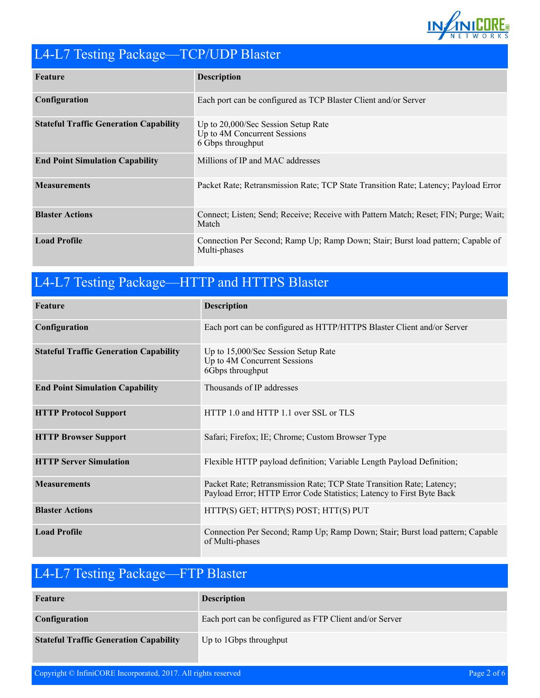

### L4-L7 Testing Package—TCP/UDP Blaster

| Feature                                       | <b>Description</b>                                                                               |
|-----------------------------------------------|--------------------------------------------------------------------------------------------------|
| Configuration                                 | Each port can be configured as TCP Blaster Client and/or Server                                  |
| <b>Stateful Traffic Generation Capability</b> | Up to 20,000/Sec Session Setup Rate<br>Up to 4M Concurrent Sessions<br>6 Gbps throughput         |
| <b>End Point Simulation Capability</b>        | Millions of IP and MAC addresses                                                                 |
| <b>Measurements</b>                           | Packet Rate; Retransmission Rate; TCP State Transition Rate; Latency; Payload Error              |
| <b>Blaster Actions</b>                        | Connect; Listen; Send; Receive; Receive with Pattern Match; Reset; FIN; Purge; Wait;<br>Match    |
| <b>Load Profile</b>                           | Connection Per Second; Ramp Up; Ramp Down; Stair; Burst load pattern; Capable of<br>Multi-phases |

## L4-L7 Testing Package—HTTP and HTTPS Blaster

| Feature                                       | <b>Description</b>                                                                                                                             |
|-----------------------------------------------|------------------------------------------------------------------------------------------------------------------------------------------------|
| Configuration                                 | Each port can be configured as HTTP/HTTPS Blaster Client and/or Server                                                                         |
| <b>Stateful Traffic Generation Capability</b> | Up to 15,000/Sec Session Setup Rate<br>Up to 4M Concurrent Sessions<br>6Gbps throughput                                                        |
| <b>End Point Simulation Capability</b>        | Thousands of IP addresses                                                                                                                      |
| <b>HTTP Protocol Support</b>                  | HTTP 1.0 and HTTP 1.1 over SSL or TLS                                                                                                          |
| <b>HTTP Browser Support</b>                   | Safari; Firefox; IE; Chrome; Custom Browser Type                                                                                               |
| <b>HTTP Server Simulation</b>                 | Flexible HTTP payload definition; Variable Length Payload Definition;                                                                          |
| <b>Measurements</b>                           | Packet Rate; Retransmission Rate; TCP State Transition Rate; Latency;<br>Payload Error; HTTP Error Code Statistics; Latency to First Byte Back |
| <b>Blaster Actions</b>                        | HTTP(S) GET; HTTP(S) POST; HTT(S) PUT                                                                                                          |
| <b>Load Profile</b>                           | Connection Per Second; Ramp Up; Ramp Down; Stair; Burst load pattern; Capable<br>of Multi-phases                                               |

### L4-L7 Testing Package—FTP Blaster

| Feature                                       | <b>Description</b>                                      |
|-----------------------------------------------|---------------------------------------------------------|
| Configuration                                 | Each port can be configured as FTP Client and/or Server |
| <b>Stateful Traffic Generation Capability</b> | Up to 1Gbps throughput                                  |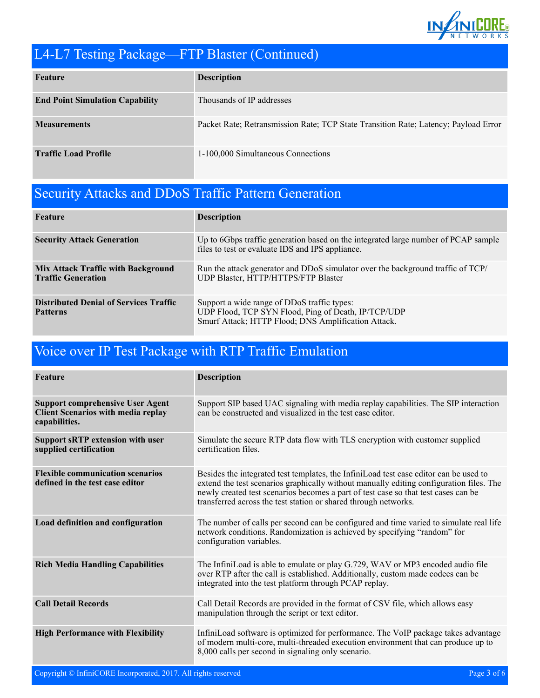

### L4-L7 Testing Package—FTP Blaster (Continued)

| Feature                                | <b>Description</b>                                                                  |
|----------------------------------------|-------------------------------------------------------------------------------------|
| <b>End Point Simulation Capability</b> | Thousands of IP addresses                                                           |
| <b>Measurements</b>                    | Packet Rate; Retransmission Rate; TCP State Transition Rate; Latency; Payload Error |
| <b>Traffic Load Profile</b>            | 1-100,000 Simultaneous Connections                                                  |

### Security Attacks and DDoS Traffic Pattern Generation

| Feature                                                                | <b>Description</b>                                                                                                                                        |
|------------------------------------------------------------------------|-----------------------------------------------------------------------------------------------------------------------------------------------------------|
| <b>Security Attack Generation</b>                                      | Up to 6Gbps traffic generation based on the integrated large number of PCAP sample<br>files to test or evaluate IDS and IPS appliance.                    |
| <b>Mix Attack Traffic with Background</b><br><b>Traffic Generation</b> | Run the attack generator and DDoS simulator over the background traffic of TCP/<br>UDP Blaster, HTTP/HTTPS/FTP Blaster                                    |
| <b>Distributed Denial of Services Traffic</b><br><b>Patterns</b>       | Support a wide range of DDoS traffic types:<br>UDP Flood, TCP SYN Flood, Ping of Death, IP/TCP/UDP<br>Smurf Attack; HTTP Flood; DNS Amplification Attack. |

### Voice over IP Test Package with RTP Traffic Emulation

| Feature                                                                                               | <b>Description</b>                                                                                                                                                                                                                                                                                                                        |
|-------------------------------------------------------------------------------------------------------|-------------------------------------------------------------------------------------------------------------------------------------------------------------------------------------------------------------------------------------------------------------------------------------------------------------------------------------------|
| <b>Support comprehensive User Agent</b><br><b>Client Scenarios with media replay</b><br>capabilities. | Support SIP based UAC signaling with media replay capabilities. The SIP interaction<br>can be constructed and visualized in the test case editor.                                                                                                                                                                                         |
| <b>Support sRTP extension with user</b><br>supplied certification                                     | Simulate the secure RTP data flow with TLS encryption with customer supplied<br>certification files.                                                                                                                                                                                                                                      |
| <b>Flexible communication scenarios</b><br>defined in the test case editor                            | Besides the integrated test templates, the InfiniLoad test case editor can be used to<br>extend the test scenarios graphically without manually editing configuration files. The<br>newly created test scenarios becomes a part of test case so that test cases can be<br>transferred across the test station or shared through networks. |
| Load definition and configuration                                                                     | The number of calls per second can be configured and time varied to simulate real life<br>network conditions. Randomization is achieved by specifying "random" for<br>configuration variables.                                                                                                                                            |
| <b>Rich Media Handling Capabilities</b>                                                               | The InfiniLoad is able to emulate or play G.729, WAV or MP3 encoded audio file<br>over RTP after the call is established. Additionally, custom made codecs can be<br>integrated into the test platform through PCAP replay.                                                                                                               |
| <b>Call Detail Records</b>                                                                            | Call Detail Records are provided in the format of CSV file, which allows easy<br>manipulation through the script or text editor.                                                                                                                                                                                                          |
| <b>High Performance with Flexibility</b>                                                              | InfiniLoad software is optimized for performance. The VoIP package takes advantage<br>of modern multi-core, multi-threaded execution environment that can produce up to<br>8,000 calls per second in signaling only scenario.                                                                                                             |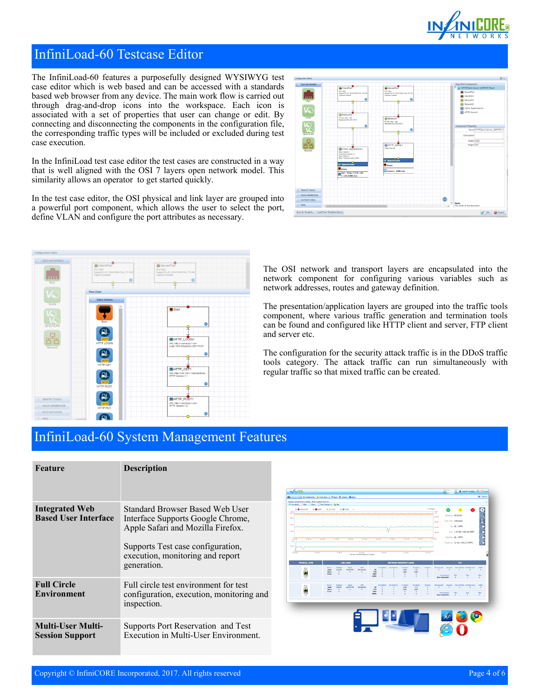

œ

V OK 0

### InfiniLoad-60 Testcase Editor

The InfiniLoad-60 features a purposefully designed WYSIWYG test case editor which is web based and can be accessed with a standards based web browser from any device. The main work flow is carried out through drag-and-drop icons into the workspace. Each icon is associated with a set of properties that user can change or edit. By connecting and disconnecting the components in the configuration file, the corresponding traffic types will be included or excluded during test case execution.

In the InfiniLoad test case editor the test cases are constructed in a way that is well aligned with the OSI 7 layers open network model. This similarity allows an operator to get started quickly.

In the test case editor, the OSI physical and link layer are grouped into a powerful port component, which allows the user to select the port, define VLAN and configure the port attributes as necessary.



The OSI network and transport layers are encapsulated into the network component for configuring various variables such as network addresses, routes and gateway definition.

The presentation/application layers are grouped into the traffic tools component, where various traffic generation and termination tools can be found and configured like HTTP client and server, FTP client and server etc.

The configuration for the security attack traffic is in the DDoS traffic tools category. The attack traffic can run simultaneously with regular traffic so that mixed traffic can be created.

### InfiniLoad-60 System Management Features

| Feature                                              | <b>Description</b>                                                                                                                                                                                |
|------------------------------------------------------|---------------------------------------------------------------------------------------------------------------------------------------------------------------------------------------------------|
| <b>Integrated Web</b><br><b>Based User Interface</b> | Standard Browser Based Web User<br>Interface Supports Google Chrome,<br>Apple Safari and Mozilla Firefox.<br>Supports Test case configuration,<br>execution, monitoring and report<br>generation. |
| <b>Full Circle</b><br><b>Environment</b>             | Full circle test environment for test<br>configuration, execution, monitoring and<br>inspection.                                                                                                  |
| <b>Multi-User Multi-</b><br><b>Session Support</b>   | Supports Port Reservation and Test<br>Execution in Multi-User Environment.                                                                                                                        |

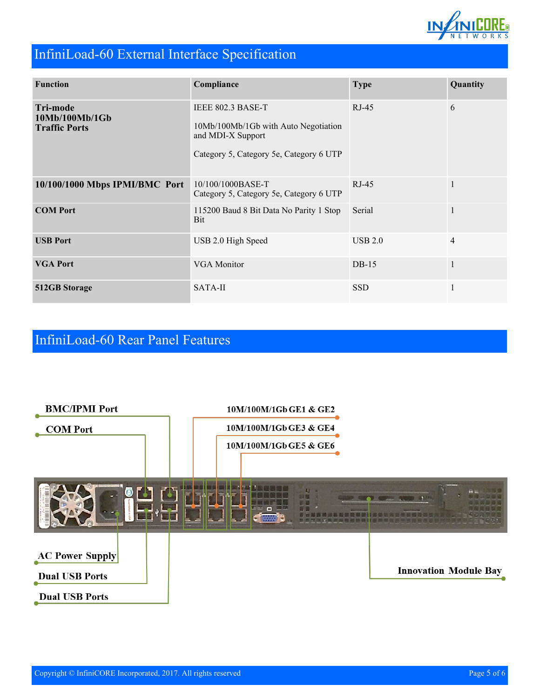

## InfiniLoad-60 External Interface Specification

| <b>Function</b>                                           | Compliance                                                                                                                | <b>Type</b> | Quantity       |
|-----------------------------------------------------------|---------------------------------------------------------------------------------------------------------------------------|-------------|----------------|
| <b>Tri-mode</b><br>10Mb/100Mb/1Gb<br><b>Traffic Ports</b> | IEEE 802.3 BASE-T<br>10Mb/100Mb/1Gb with Auto Negotiation<br>and MDI-X Support<br>Category 5, Category 5e, Category 6 UTP | $RJ-45$     | 6              |
| 10/100/1000 Mbps IPMI/BMC Port                            | 10/100/1000BASE-T<br>Category 5, Category 5e, Category 6 UTP                                                              | $RJ-45$     | $\mathbf{1}$   |
| <b>COM Port</b>                                           | 115200 Baud 8 Bit Data No Parity 1 Stop<br>Bit                                                                            | Serial      | $\mathbf{1}$   |
| <b>USB Port</b>                                           | USB 2.0 High Speed                                                                                                        | USB 2.0     | $\overline{4}$ |
| <b>VGA Port</b>                                           | VGA Monitor                                                                                                               | $DB-15$     | $\mathbf{1}$   |
| 512GB Storage                                             | SATA-II                                                                                                                   | <b>SSD</b>  | $\mathbf{1}$   |

### InfiniLoad-60 Rear Panel Features